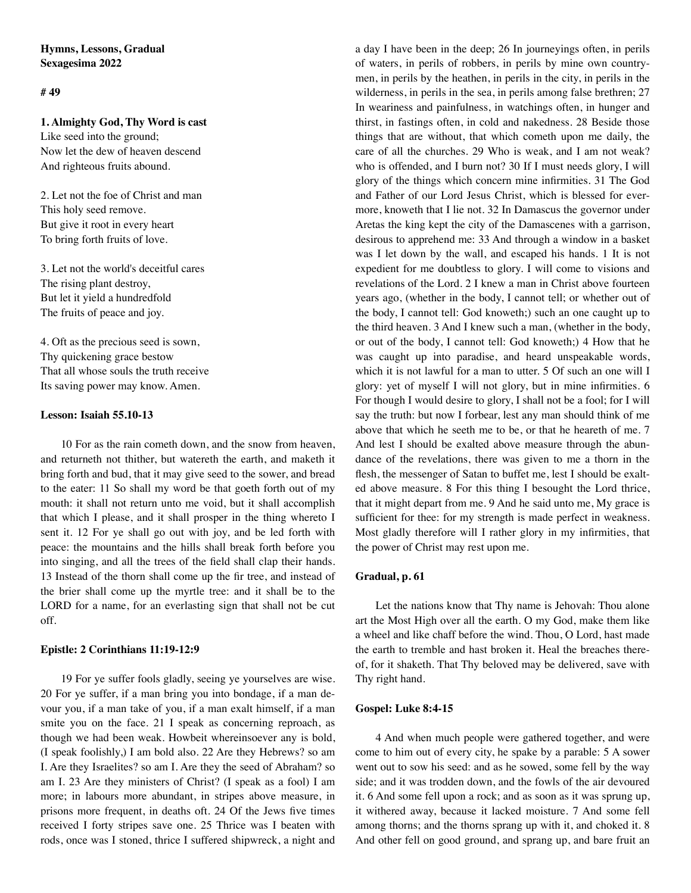# **Hymns, Lessons, Gradual Sexagesima 2022**

# **# 49**

### **1. Almighty God, Thy Word is cast**

Like seed into the ground; Now let the dew of heaven descend And righteous fruits abound.

2. Let not the foe of Christ and man This holy seed remove. But give it root in every heart To bring forth fruits of love.

3. Let not the world's deceitful cares The rising plant destroy, But let it yield a hundredfold The fruits of peace and joy.

4. Oft as the precious seed is sown, Thy quickening grace bestow That all whose souls the truth receive Its saving power may know. Amen.

## **Lesson: Isaiah 55.10-13**

10 For as the rain cometh down, and the snow from heaven, and returneth not thither, but watereth the earth, and maketh it bring forth and bud, that it may give seed to the sower, and bread to the eater: 11 So shall my word be that goeth forth out of my mouth: it shall not return unto me void, but it shall accomplish that which I please, and it shall prosper in the thing whereto I sent it. 12 For ye shall go out with joy, and be led forth with peace: the mountains and the hills shall break forth before you into singing, and all the trees of the field shall clap their hands. 13 Instead of the thorn shall come up the fir tree, and instead of the brier shall come up the myrtle tree: and it shall be to the LORD for a name, for an everlasting sign that shall not be cut off.

## **Epistle: 2 Corinthians 11:19-12:9**

19 For ye suffer fools gladly, seeing ye yourselves are wise. 20 For ye suffer, if a man bring you into bondage, if a man devour you, if a man take of you, if a man exalt himself, if a man smite you on the face. 21 I speak as concerning reproach, as though we had been weak. Howbeit whereinsoever any is bold, (I speak foolishly,) I am bold also. 22 Are they Hebrews? so am I. Are they Israelites? so am I. Are they the seed of Abraham? so am I. 23 Are they ministers of Christ? (I speak as a fool) I am more; in labours more abundant, in stripes above measure, in prisons more frequent, in deaths oft. 24 Of the Jews five times received I forty stripes save one. 25 Thrice was I beaten with rods, once was I stoned, thrice I suffered shipwreck, a night and

a day I have been in the deep; 26 In journeyings often, in perils of waters, in perils of robbers, in perils by mine own countrymen, in perils by the heathen, in perils in the city, in perils in the wilderness, in perils in the sea, in perils among false brethren; 27 In weariness and painfulness, in watchings often, in hunger and thirst, in fastings often, in cold and nakedness. 28 Beside those things that are without, that which cometh upon me daily, the care of all the churches. 29 Who is weak, and I am not weak? who is offended, and I burn not? 30 If I must needs glory, I will glory of the things which concern mine infirmities. 31 The God and Father of our Lord Jesus Christ, which is blessed for evermore, knoweth that I lie not. 32 In Damascus the governor under Aretas the king kept the city of the Damascenes with a garrison, desirous to apprehend me: 33 And through a window in a basket was I let down by the wall, and escaped his hands. 1 It is not expedient for me doubtless to glory. I will come to visions and revelations of the Lord. 2 I knew a man in Christ above fourteen years ago, (whether in the body, I cannot tell; or whether out of the body, I cannot tell: God knoweth;) such an one caught up to the third heaven. 3 And I knew such a man, (whether in the body, or out of the body, I cannot tell: God knoweth;) 4 How that he was caught up into paradise, and heard unspeakable words, which it is not lawful for a man to utter. 5 Of such an one will I glory: yet of myself I will not glory, but in mine infirmities. 6 For though I would desire to glory, I shall not be a fool; for I will say the truth: but now I forbear, lest any man should think of me above that which he seeth me to be, or that he heareth of me. 7 And lest I should be exalted above measure through the abundance of the revelations, there was given to me a thorn in the flesh, the messenger of Satan to buffet me, lest I should be exalted above measure. 8 For this thing I besought the Lord thrice, that it might depart from me. 9 And he said unto me, My grace is sufficient for thee: for my strength is made perfect in weakness. Most gladly therefore will I rather glory in my infirmities, that the power of Christ may rest upon me.

## **Gradual, p. 61**

Let the nations know that Thy name is Jehovah: Thou alone art the Most High over all the earth. O my God, make them like a wheel and like chaff before the wind. Thou, O Lord, hast made the earth to tremble and hast broken it. Heal the breaches thereof, for it shaketh. That Thy beloved may be delivered, save with Thy right hand.

## **Gospel: Luke 8:4-15**

4 And when much people were gathered together, and were come to him out of every city, he spake by a parable: 5 A sower went out to sow his seed: and as he sowed, some fell by the way side; and it was trodden down, and the fowls of the air devoured it. 6 And some fell upon a rock; and as soon as it was sprung up, it withered away, because it lacked moisture. 7 And some fell among thorns; and the thorns sprang up with it, and choked it. 8 And other fell on good ground, and sprang up, and bare fruit an